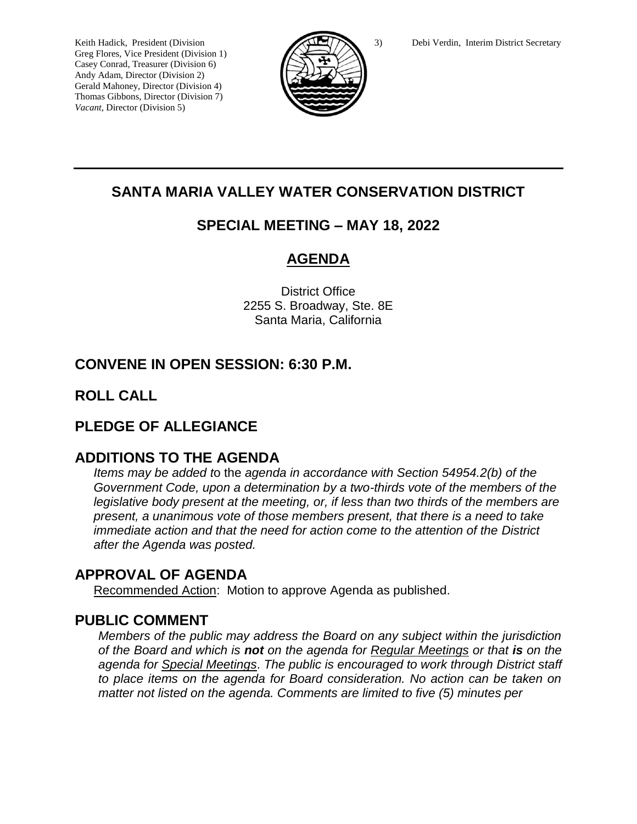Greg Flores, Vice President (Division 1) Casey Conrad, Treasurer (Division 6) Andy Adam, Director (Division 2) Gerald Mahoney, Director (Division 4) Thomas Gibbons, Director (Division 7) *Vacant,* Director (Division 5)



## **SANTA MARIA VALLEY WATER CONSERVATION DISTRICT**

## **SPECIAL MEETING – MAY 18, 2022**

# **AGENDA**

District Office 2255 S. Broadway, Ste. 8E Santa Maria, California

# **CONVENE IN OPEN SESSION: 6:30 P.M.**

## **ROLL CALL**

## **PLEDGE OF ALLEGIANCE**

### **ADDITIONS TO THE AGENDA**

*Items may be added t*o the *agenda in accordance with Section 54954.2(b) of the Government Code, upon a determination by a two-thirds vote of the members of the legislative body present at the meeting, or, if less than two thirds of the members are present, a unanimous vote of those members present, that there is a need to take immediate action and that the need for action come to the attention of the District after the Agenda was posted.* 

## **APPROVAL OF AGENDA**

Recommended Action: Motion to approve Agenda as published.

### **PUBLIC COMMENT**

*Members of the public may address the Board on any subject within the jurisdiction of the Board and which is not on the agenda for Regular Meetings or that is on the agenda for Special Meetings*. *The public is encouraged to work through District staff to place items on the agenda for Board consideration. No action can be taken on matter not listed on the agenda. Comments are limited to five (5) minutes per*